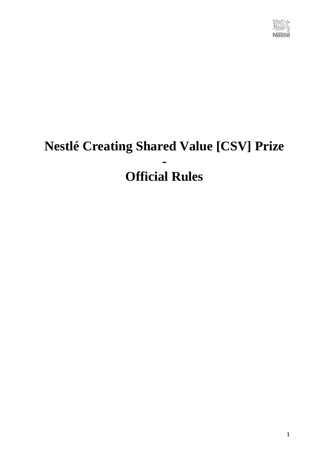

# **Nestlé Creating Shared Value [CSV] Prize - Official Rules**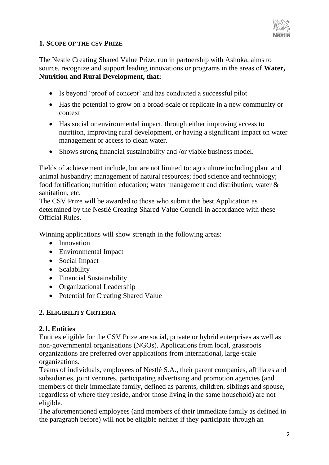

# **1. SCOPE OF THE CSV PRIZE**

The Nestle Creating Shared Value Prize, run in partnership with Ashoka, aims to source, recognize and support leading innovations or programs in the areas of **Water, Nutrition and Rural Development, that:** 

- Is beyond 'proof of concept' and has conducted a successful pilot
- Has the potential to grow on a broad-scale or replicate in a new community or context
- Has social or environmental impact, through either improving access to nutrition, improving rural development, or having a significant impact on water management or access to clean water.
- Shows strong financial sustainability and /or viable business model.

Fields of achievement include, but are not limited to: agriculture including plant and animal husbandry; management of natural resources; food science and technology; food fortification; nutrition education; water management and distribution; water & sanitation, etc.

The CSV Prize will be awarded to those who submit the best Application as determined by the Nestlé Creating Shared Value Council in accordance with these Official Rules.

Winning applications will show strength in the following areas:

- Innovation
- Environmental Impact
- Social Impact
- Scalability
- Financial Sustainability
- Organizational Leadership
- Potential for Creating Shared Value

# **2. ELIGIBILITY CRITERIA**

#### **2.1. Entities**

Entities eligible for the CSV Prize are social, private or hybrid enterprises as well as non-governmental organisations (NGOs). Applications from local, grassroots organizations are preferred over applications from international, large-scale organizations.

Teams of individuals, employees of Nestlé S.A., their parent companies, affiliates and subsidiaries, joint ventures, participating advertising and promotion agencies (and members of their immediate family, defined as parents, children, siblings and spouse, regardless of where they reside, and/or those living in the same household) are not eligible.

The aforementioned employees (and members of their immediate family as defined in the paragraph before) will not be eligible neither if they participate through an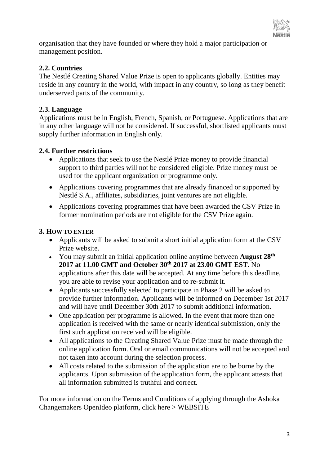

organisation that they have founded or where they hold a major participation or management position.

# **2.2. Countries**

The Nestlé Creating Shared Value Prize is open to applicants globally. Entities may reside in any country in the world, with impact in any country, so long as they benefit underserved parts of the community.

# **2.3. Language**

Applications must be in English, French, Spanish, or Portuguese. Applications that are in any other language will not be considered. If successful, shortlisted applicants must supply further information in English only.

# **2.4. Further restrictions**

- Applications that seek to use the Nestlé Prize money to provide financial support to third parties will not be considered eligible. Prize money must be used for the applicant organization or programme only.
- Applications covering programmes that are already financed or supported by Nestlé S.A., affiliates, subsidiaries, joint ventures are not eligible.
- Applications covering programmes that have been awarded the CSV Prize in former nomination periods are not eligible for the CSV Prize again.

# **3. HOW TO ENTER**

- Applicants will be asked to submit a short initial application form at the CSV Prize website.
- You may submit an initial application online anytime between **August 28th 2017 at 11.00 GMT and October 30th 2017 at 23.00 GMT EST**. No applications after this date will be accepted. At any time before this deadline, you are able to revise your application and to re-submit it.
- Applicants successfully selected to participate in Phase 2 will be asked to provide further information. Applicants will be informed on December 1st 2017 and will have until December 30th 2017 to submit additional information.
- One application per programme is allowed. In the event that more than one application is received with the same or nearly identical submission, only the first such application received will be eligible.
- All applications to the Creating Shared Value Prize must be made through the online application form. Oral or email communications will not be accepted and not taken into account during the selection process.
- All costs related to the submission of the application are to be borne by the applicants. Upon submission of the application form, the applicant attests that all information submitted is truthful and correct.

For more information on the Terms and Conditions of applying through the Ashoka Changemakers OpenIdeo platform, click here > WEBSITE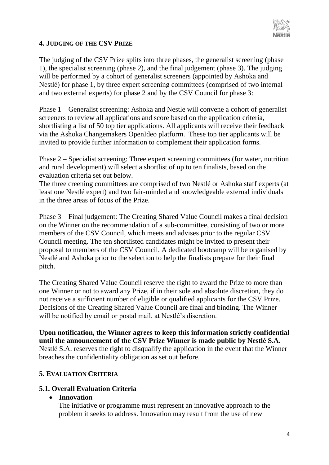

#### **4. JUDGING OF THE CSV PRIZE**

The judging of the CSV Prize splits into three phases, the generalist screening (phase 1), the specialist screening (phase 2), and the final judgement (phase 3). The judging will be performed by a cohort of generalist screeners (appointed by Ashoka and Nestlé) for phase 1, by three expert screening committees (comprised of two internal and two external experts) for phase 2 and by the CSV Council for phase 3:

Phase 1 – Generalist screening: Ashoka and Nestle will convene a cohort of generalist screeners to review all applications and score based on the application criteria, shortlisting a list of 50 top tier applications. All applicants will receive their feedback via the Ashoka Changemakers OpenIdeo platform. These top tier applicants will be invited to provide further information to complement their application forms.

Phase 2 – Specialist screening: Three expert screening committees (for water, nutrition and rural development) will select a shortlist of up to ten finalists, based on the evaluation criteria set out below.

The three creening committees are comprised of two Nestlé or Ashoka staff experts (at least one Nestlé expert) and two fair-minded and knowledgeable external individuals in the three areas of focus of the Prize.

Phase 3 – Final judgement: The Creating Shared Value Council makes a final decision on the Winner on the recommendation of a sub-committee, consisting of two or more members of the CSV Council, which meets and advises prior to the regular CSV Council meeting. The ten shortlisted candidates might be invited to present their proposal to members of the CSV Council. A dedicated bootcamp will be organised by Nestlé and Ashoka prior to the selection to help the finalists prepare for their final pitch.

The Creating Shared Value Council reserve the right to award the Prize to more than one Winner or not to award any Prize, if in their sole and absolute discretion, they do not receive a sufficient number of eligible or qualified applicants for the CSV Prize. Decisions of the Creating Shared Value Council are final and binding. The Winner will be notified by email or postal mail, at Nestlé's discretion.

**Upon notification, the Winner agrees to keep this information strictly confidential until the announcement of the CSV Prize Winner is made public by Nestlé S.A.**  Nestlé S.A. reserves the right to disqualify the application in the event that the Winner breaches the confidentiality obligation as set out before.

#### **5. EVALUATION CRITERIA**

#### **5.1. Overall Evaluation Criteria**

#### **Innovation**

The initiative or programme must represent an innovative approach to the problem it seeks to address. Innovation may result from the use of new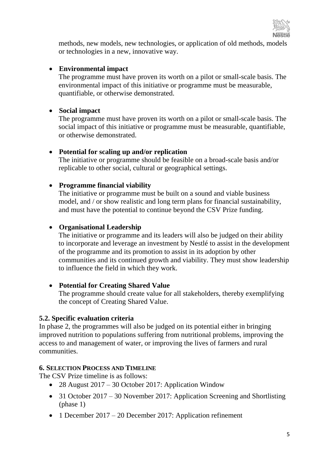

methods, new models, new technologies, or application of old methods, models or technologies in a new, innovative way.

#### **Environmental impact**

The programme must have proven its worth on a pilot or small-scale basis. The environmental impact of this initiative or programme must be measurable, quantifiable, or otherwise demonstrated.

# **Social impact**

The programme must have proven its worth on a pilot or small-scale basis. The social impact of this initiative or programme must be measurable, quantifiable, or otherwise demonstrated.

# **Potential for scaling up and/or replication**

The initiative or programme should be feasible on a broad-scale basis and/or replicable to other social, cultural or geographical settings.

# **Programme financial viability**

The initiative or programme must be built on a sound and viable business model, and / or show realistic and long term plans for financial sustainability, and must have the potential to continue beyond the CSV Prize funding.

# **Organisational Leadership**

The initiative or programme and its leaders will also be judged on their ability to incorporate and leverage an investment by Nestlé to assist in the development of the programme and its promotion to assist in its adoption by other communities and its continued growth and viability. They must show leadership to influence the field in which they work.

#### **Potential for Creating Shared Value**

The programme should create value for all stakeholders, thereby exemplifying the concept of Creating Shared Value.

#### **5.2. Specific evaluation criteria**

In phase 2, the programmes will also be judged on its potential either in bringing improved nutrition to populations suffering from nutritional problems, improving the access to and management of water, or improving the lives of farmers and rural communities.

#### **6. SELECTION PROCESS AND TIMELINE**

The CSV Prize timeline is as follows:

- 28 August 2017 30 October 2017: Application Window
- 31 October 2017 30 November 2017: Application Screening and Shortlisting (phase 1)
- 1 December 2017 20 December 2017: Application refinement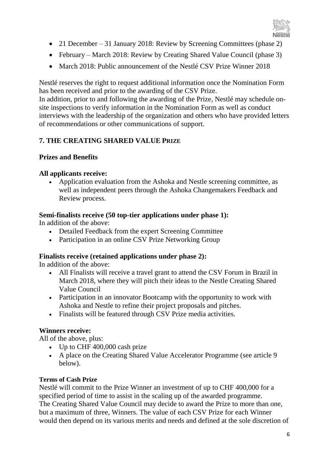

- 21 December 31 January 2018: Review by Screening Committees (phase 2)
- February March 2018: Review by Creating Shared Value Council (phase 3)
- March 2018: Public announcement of the Nestlé CSV Prize Winner 2018

Nestlé reserves the right to request additional information once the Nomination Form has been received and prior to the awarding of the CSV Prize.

In addition, prior to and following the awarding of the Prize, Nestlé may schedule onsite inspections to verify information in the Nomination Form as well as conduct interviews with the leadership of the organization and others who have provided letters of recommendations or other communications of support.

# **7. THE CREATING SHARED VALUE PRIZE**

# **Prizes and Benefits**

# **All applicants receive:**

 Application evaluation from the Ashoka and Nestle screening committee, as well as independent peers through the Ashoka Changemakers Feedback and Review process.

# **Semi-finalists receive (50 top-tier applications under phase 1):**

In addition of the above:

- Detailed Feedback from the expert Screening Committee
- Participation in an online CSV Prize Networking Group

# **Finalists receive (retained applications under phase 2):**

In addition of the above:

- All Finalists will receive a travel grant to attend the CSV Forum in Brazil in March 2018, where they will pitch their ideas to the Nestle Creating Shared Value Council
- Participation in an innovator Bootcamp with the opportunity to work with Ashoka and Nestle to refine their project proposals and pitches.
- Finalists will be featured through CSV Prize media activities.

# **Winners receive:**

All of the above, plus:

- Up to CHF 400,000 cash prize
- A place on the Creating Shared Value Accelerator Programme (see article 9 below).

#### **Terms of Cash Prize**

Nestlé will commit to the Prize Winner an investment of up to CHF 400,000 for a specified period of time to assist in the scaling up of the awarded programme. The Creating Shared Value Council may decide to award the Prize to more than one, but a maximum of three, Winners. The value of each CSV Prize for each Winner would then depend on its various merits and needs and defined at the sole discretion of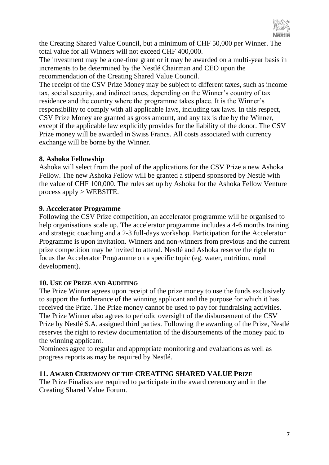

the Creating Shared Value Council, but a minimum of CHF 50,000 per Winner. The total value for all Winners will not exceed CHF 400,000.

The investment may be a one-time grant or it may be awarded on a multi-year basis in increments to be determined by the Nestlé Chairman and CEO upon the recommendation of the Creating Shared Value Council.

The receipt of the CSV Prize Money may be subject to different taxes, such as income tax, social security, and indirect taxes, depending on the Winner's country of tax residence and the country where the programme takes place. It is the Winner's responsibility to comply with all applicable laws, including tax laws. In this respect, CSV Prize Money are granted as gross amount, and any tax is due by the Winner, except if the applicable law explicitly provides for the liability of the donor. The CSV Prize money will be awarded in Swiss Francs. All costs associated with currency exchange will be borne by the Winner.

#### **8. Ashoka Fellowship**

Ashoka will select from the pool of the applications for the CSV Prize a new Ashoka Fellow. The new Ashoka Fellow will be granted a stipend sponsored by Nestlé with the value of CHF 100,000. The rules set up by Ashoka for the Ashoka Fellow Venture process apply > WEBSITE.

# **9. Accelerator Programme**

Following the CSV Prize competition, an accelerator programme will be organised to help organisations scale up. The accelerator programme includes a 4-6 months training and strategic coaching and a 2-3 full-days workshop. Participation for the Accelerator Programme is upon invitation. Winners and non-winners from previous and the current prize competition may be invited to attend. Nestlé and Ashoka reserve the right to focus the Accelerator Programme on a specific topic (eg. water, nutrition, rural development).

#### **10. USE OF PRIZE AND AUDITING**

The Prize Winner agrees upon receipt of the prize money to use the funds exclusively to support the furtherance of the winning applicant and the purpose for which it has received the Prize. The Prize money cannot be used to pay for fundraising activities. The Prize Winner also agrees to periodic oversight of the disbursement of the CSV Prize by Nestlé S.A. assigned third parties. Following the awarding of the Prize, Nestlé reserves the right to review documentation of the disbursements of the money paid to the winning applicant.

Nominees agree to regular and appropriate monitoring and evaluations as well as progress reports as may be required by Nestlé.

#### **11. AWARD CEREMONY OF THE CREATING SHARED VALUE PRIZE**

The Prize Finalists are required to participate in the award ceremony and in the Creating Shared Value Forum.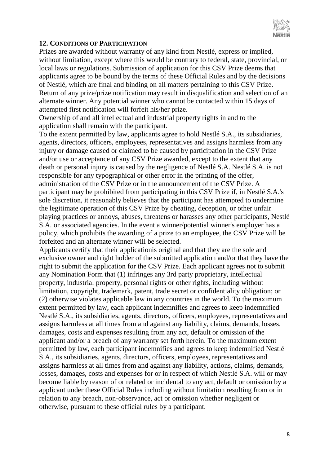

#### **12. CONDITIONS OF PARTICIPATION**

Prizes are awarded without warranty of any kind from Nestlé, express or implied, without limitation, except where this would be contrary to federal, state, provincial, or local laws or regulations. Submission of application for this CSV Prize deems that applicants agree to be bound by the terms of these Official Rules and by the decisions of Nestlé, which are final and binding on all matters pertaining to this CSV Prize. Return of any prize/prize notification may result in disqualification and selection of an alternate winner. Any potential winner who cannot be contacted within 15 days of attempted first notification will forfeit his/her prize.

Ownership of and all intellectual and industrial property rights in and to the application shall remain with the participant.

To the extent permitted by law, applicants agree to hold Nestlé S.A., its subsidiaries, agents, directors, officers, employees, representatives and assigns harmless from any injury or damage caused or claimed to be caused by participation in the CSV Prize and/or use or acceptance of any CSV Prize awarded, except to the extent that any death or personal injury is caused by the negligence of Nestlé S.A. Nestlé S.A. is not responsible for any typographical or other error in the printing of the offer, administration of the CSV Prize or in the announcement of the CSV Prize. A participant may be prohibited from participating in this CSV Prize if, in Nestlé S.A.'s sole discretion, it reasonably believes that the participant has attempted to undermine the legitimate operation of this CSV Prize by cheating, deception, or other unfair playing practices or annoys, abuses, threatens or harasses any other participants, Nestlé S.A. or associated agencies. In the event a winner/potential winner's employer has a policy, which prohibits the awarding of a prize to an employee, the CSV Prize will be forfeited and an alternate winner will be selected.

Applicants certify that their applicationis original and that they are the sole and exclusive owner and right holder of the submitted application and/or that they have the right to submit the application for the CSV Prize. Each applicant agrees not to submit any Nomination Form that (1) infringes any 3rd party proprietary, intellectual property, industrial property, personal rights or other rights, including without limitation, copyright, trademark, patent, trade secret or confidentiality obligation; or (2) otherwise violates applicable law in any countries in the world. To the maximum extent permitted by law, each applicant indemnifies and agrees to keep indemnified Nestlé S.A., its subsidiaries, agents, directors, officers, employees, representatives and assigns harmless at all times from and against any liability, claims, demands, losses, damages, costs and expenses resulting from any act, default or omission of the applicant and/or a breach of any warranty set forth herein. To the maximum extent permitted by law, each participant indemnifies and agrees to keep indemnified Nestlé S.A., its subsidiaries, agents, directors, officers, employees, representatives and assigns harmless at all times from and against any liability, actions, claims, demands, losses, damages, costs and expenses for or in respect of which Nestlé S.A. will or may become liable by reason of or related or incidental to any act, default or omission by a applicant under these Official Rules including without limitation resulting from or in relation to any breach, non-observance, act or omission whether negligent or otherwise, pursuant to these official rules by a participant.